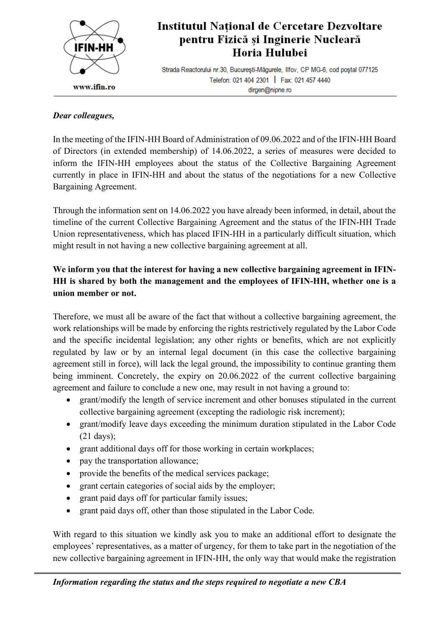

## Institutul Național de Cercetare Dezvoltare pentru Fizică și Inginerie Nucleară Horia Hulubei

Strada Reactorului nr.30, București-Măgurele, Ilfov, CP MG-6, cod poștal 077125 Telefon: 021 404 2301 | Fax: 021 457 4440 dirgen@nipne.ro

## *Dear colleagues,*

In the meeting of the IFIN-HH Board of Administration of 09.06.2022 and of the IFIN-HH Board of Directors (in extended membership) of 14.06.2022, a series of measures were decided to inform the IFIN-HH employees about the status of the Collective Bargaining Agreement currently in place in IFIN-HH and about the status of the negotiations for a new Collective Bargaining Agreement.

Through the information sent on 14.06.2022 you have already been informed, in detail, about the timeline of the current Collective Bargaining Agreement and the status of the IFIN-HH Trade Union representativeness, which has placed IFIN-HH in a particularly difficult situation, which might result in not having a new collective bargaining agreement at all.

## **We inform you that the interest for having a new collective bargaining agreement in IFIN-HH is shared by both the management and the employees of IFIN-HH, whether one is a union member or not.**

Therefore, we must all be aware of the fact that without a collective bargaining agreement, the work relationships will be made by enforcing the rights restrictively regulated by the Labor Code and the specific incidental legislation; any other rights or benefits, which are not explicitly regulated by law or by an internal legal document (in this case the collective bargaining agreement still in force), will lack the legal ground, the impossibility to continue granting them being imminent. Concretely, the expiry on 20.06.2022 of the current collective bargaining agreement and failure to conclude a new one, may result in not having a ground to:

- grant/modify the length of service increment and other bonuses stipulated in the current collective bargaining agreement (excepting the radiologic risk increment);
- grant/modify leave days exceeding the minimum duration stipulated in the Labor Code (21 days);
- grant additional days off for those working in certain workplaces;
- pay the transportation allowance;
- provide the benefits of the medical services package;
- grant certain categories of social aids by the employer;
- grant paid days off for particular family issues;
- grant paid days off, other than those stipulated in the Labor Code.

With regard to this situation we kindly ask you to make an additional effort to designate the employees' representatives, as a matter of urgency, for them to take part in the negotiation of the new collective bargaining agreement in IFIN-HH, the only way that would make the registration